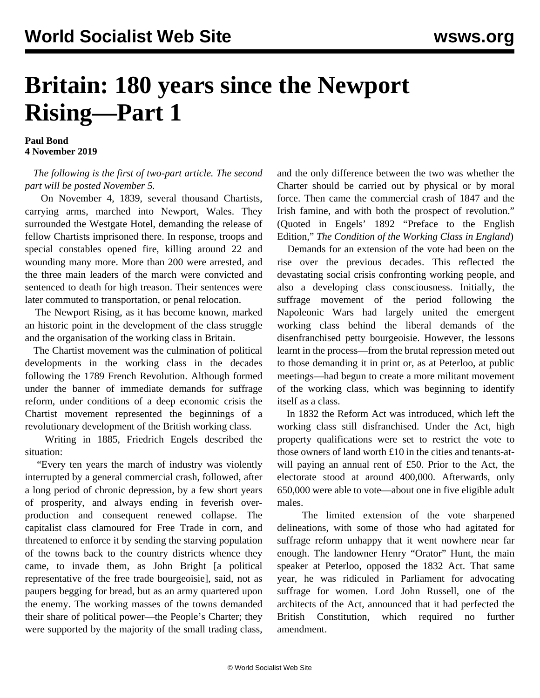## **Britain: 180 years since the Newport Rising—Part 1**

**Paul Bond 4 November 2019**

## *The following is the first of two-part article. The second part will be posted November 5.*

 On November 4, 1839, several thousand Chartists, carrying arms, marched into Newport, Wales. They surrounded the Westgate Hotel, demanding the release of fellow Chartists imprisoned there. In response, troops and special constables opened fire, killing around 22 and wounding many more. More than 200 were arrested, and the three main leaders of the march were convicted and sentenced to death for high treason. Their sentences were later commuted to transportation, or penal relocation.

 The Newport Rising, as it has become known, marked an historic point in the development of the class struggle and the organisation of the working class in Britain.

 The Chartist movement was the culmination of political developments in the working class in the decades following the 1789 French Revolution. Although formed under the banner of immediate demands for suffrage reform, under conditions of a deep economic crisis the Chartist movement represented the beginnings of a revolutionary development of the British working class.

 Writing in 1885, Friedrich Engels described the situation:

 "Every ten years the march of industry was violently interrupted by a general commercial crash, followed, after a long period of chronic depression, by a few short years of prosperity, and always ending in feverish overproduction and consequent renewed collapse. The capitalist class clamoured for Free Trade in corn, and threatened to enforce it by sending the starving population of the towns back to the country districts whence they came, to invade them, as John Bright [a political representative of the free trade bourgeoisie], said, not as paupers begging for bread, but as an army quartered upon the enemy. The working masses of the towns demanded their share of political power—the People's Charter; they were supported by the majority of the small trading class,

and the only difference between the two was whether the Charter should be carried out by physical or by moral force. Then came the commercial crash of 1847 and the Irish famine, and with both the prospect of revolution." (Quoted in Engels' 1892 "Preface to the English Edition," *The Condition of the Working Class in England*)

 Demands for an extension of the vote had been on the rise over the previous decades. This reflected the devastating social crisis confronting working people, and also a developing class consciousness. Initially, the suffrage movement of the period following the Napoleonic Wars had largely united the emergent working class behind the liberal demands of the disenfranchised petty bourgeoisie. However, the lessons learnt in the process—from the brutal repression meted out to those demanding it in print or, as at Peterloo, at public meetings—had begun to create a more militant movement of the working class, which was beginning to identify itself [as a class](/en/articles/2019/08/16/pete-a16.html).

 In 1832 the Reform Act was introduced, which left the working class still disfranchised. Under the Act, high property qualifications were set to restrict the vote to those owners of land worth £10 in the cities and tenants-atwill paying an annual rent of £50. Prior to the Act, the electorate stood at around 400,000. Afterwards, only 650,000 were able to vote—about one in five eligible adult males.

 The limited extension of the vote sharpened delineations, with some of those who had agitated for suffrage reform unhappy that it went nowhere near far enough. The landowner Henry "Orator" Hunt, the main speaker at Peterloo, opposed the 1832 Act. That same year, he was ridiculed in Parliament for advocating suffrage for women. Lord John Russell, one of the architects of the Act, announced that it had perfected the British Constitution, which required no further amendment.